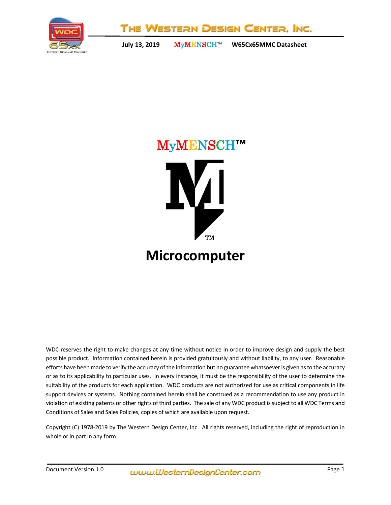

 **July 13, 2019** MyMENSCH™ **W65Cx65MMC Datasheet**

# MyMENSCH**™**



## **Microcomputer**

WDC reserves the right to make changes at any time without notice in order to improve design and supply the best possible product. Information contained herein is provided gratuitously and without liability, to any user. Reasonable efforts have been made to verify the accuracy of the information but no guarantee whatsoever is given as to the accuracy or as to its applicability to particular uses. In every instance, it must be the responsibility of the user to determine the suitability of the products for each application. WDC products are not authorized for use as critical components in life support devices or systems. Nothing contained herein shall be construed as a recommendation to use any product in violation of existing patents or other rights of third parties. The sale of any WDC product is subject to all WDC Terms and Conditions of Sales and Sales Policies, copies of which are available upon request.

Copyright (C) 1978-2019 by The Western Design Center, Inc. All rights reserved, including the right of reproduction in whole or in part in any form.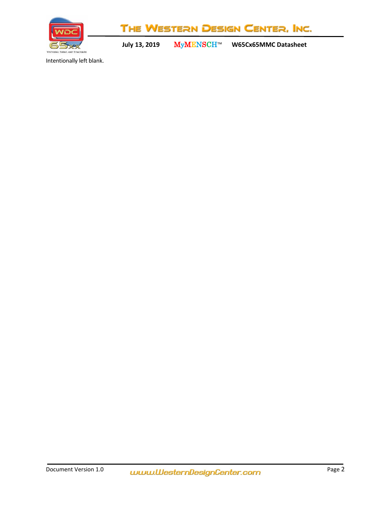



Intentionally left blank.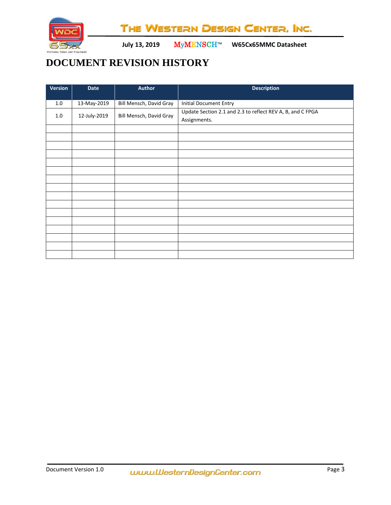

 **July 13, 2019** MyMENSCH™ **W65Cx65MMC Datasheet**

### <span id="page-2-0"></span>**DOCUMENT REVISION HISTORY**

| Version | Date         | <b>Author</b>           | <b>Description</b>                                                         |
|---------|--------------|-------------------------|----------------------------------------------------------------------------|
| $1.0\,$ | 13-May-2019  | Bill Mensch, David Gray | <b>Initial Document Entry</b>                                              |
| 1.0     | 12-July-2019 | Bill Mensch, David Gray | Update Section 2.1 and 2.3 to reflect REV A, B, and C FPGA<br>Assignments. |
|         |              |                         |                                                                            |
|         |              |                         |                                                                            |
|         |              |                         |                                                                            |
|         |              |                         |                                                                            |
|         |              |                         |                                                                            |
|         |              |                         |                                                                            |
|         |              |                         |                                                                            |
|         |              |                         |                                                                            |
|         |              |                         |                                                                            |
|         |              |                         |                                                                            |
|         |              |                         |                                                                            |
|         |              |                         |                                                                            |
|         |              |                         |                                                                            |
|         |              |                         |                                                                            |
|         |              |                         |                                                                            |
|         |              |                         |                                                                            |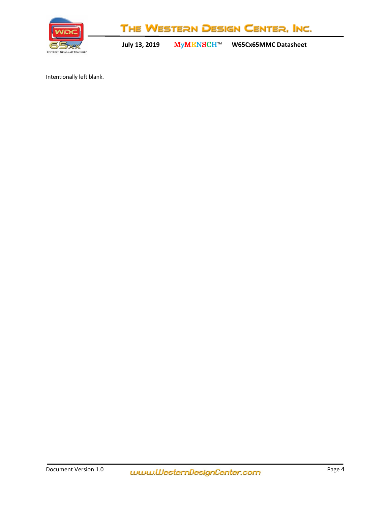



Intentionally left blank.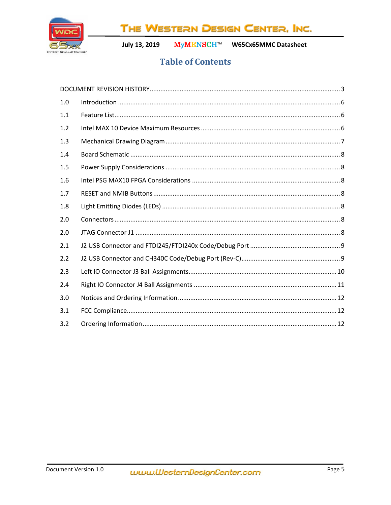

#### July 13, 2019 MyMENSCH<sup>™</sup> W65Cx65MMC Datasheet

#### **Table of Contents**

| 1.0 |  |
|-----|--|
| 1.1 |  |
| 1.2 |  |
| 1.3 |  |
| 1.4 |  |
| 1.5 |  |
| 1.6 |  |
| 1.7 |  |
| 1.8 |  |
| 2.0 |  |
| 2.0 |  |
| 2.1 |  |
| 2.2 |  |
| 2.3 |  |
| 2.4 |  |
| 3.0 |  |
| 3.1 |  |
| 3.2 |  |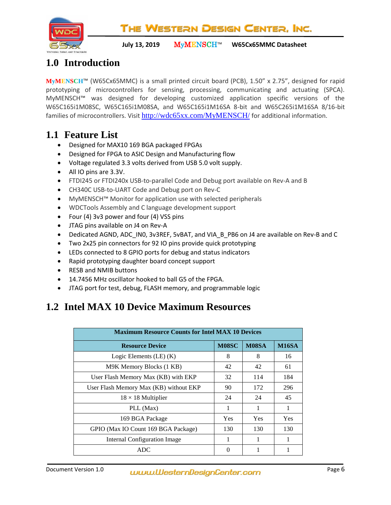

 **July 13, 2019** MyMENSCH™ **W65Cx65MMC Datasheet**

#### <span id="page-5-0"></span>**1.0 Introduction**

**MyMENSCH**™ (W65Cx65MMC) is a small printed circuit board (PCB), 1.50" x 2.75", designed for rapid prototyping of microcontrollers for sensing, processing, communicating and actuating (SPCA). MyMENSCH™ was designed for developing customized application specific versions of the W65C165i1M08SC, W65C165i1M08SA, and W65C165i1M16SA 8-bit and W65C265i1M16SA 8/16-bit families of microcontrollers. Visit <http://wdc65xx.com/MyMENSCH/> for additional information.

#### <span id="page-5-1"></span>**1.1 Feature List**

- Designed for MAX10 169 BGA packaged FPGAs
- Designed for FPGA to ASIC Design and Manufacturing flow
- Voltage regulated 3.3 volts derived from USB 5.0 volt supply.
- All IO pins are 3.3V.
- FTDI245 or FTDI240x USB-to-parallel Code and Debug port available on Rev-A and B
- CH340C USB-to-UART Code and Debug port on Rev-C
- MyMENSCH™ Monitor for application use with selected peripherals
- WDCTools Assembly and C language development support
- Four (4) 3v3 power and four (4) VSS pins
- JTAG pins available on J4 on Rev-A
- Dedicated AGND, ADC\_IN0, 3v3REF, 5vBAT, and VIA\_B\_PB6 on J4 are available on Rev-B and C
- Two 2x25 pin connectors for 92 IO pins provide quick prototyping
- LEDs connected to 8 GPIO ports for debug and status indicators
- Rapid prototyping daughter board concept support
- RESB and NMIB buttons
- 14.7456 MHz oscillator hooked to ball G5 of the FPGA.
- JTAG port for test, debug, FLASH memory, and programmable logic

#### <span id="page-5-2"></span>**1.2 Intel MAX 10 Device Maximum Resources**

| <b>Maximum Resource Counts for Intel MAX 10 Devices</b> |          |       |              |  |  |  |
|---------------------------------------------------------|----------|-------|--------------|--|--|--|
| <b>Resource Device</b>                                  | M08SC    | M08SA | <b>M16SA</b> |  |  |  |
| Logic Elements (LE) (K)                                 | 8        | 8     | 16           |  |  |  |
| M9K Memory Blocks (1 KB)                                | 42       | 42    | 61           |  |  |  |
| User Flash Memory Max (KB) with EKP                     | 32       | 114   | 184          |  |  |  |
| User Flash Memory Max (KB) without EKP                  | 90       | 172   | 296          |  |  |  |
| $18 \times 18$ Multiplier                               | 24       | 24    | 45           |  |  |  |
| PLL (Max)                                               | 1        | 1     | 1            |  |  |  |
| 169 BGA Package                                         | Yes      | Yes   | Yes          |  |  |  |
| GPIO (Max IO Count 169 BGA Package)                     | 130      | 130   | 130          |  |  |  |
| <b>Internal Configuration Image</b>                     | 1        | 1     | 1            |  |  |  |
| <b>ADC</b>                                              | $\theta$ |       |              |  |  |  |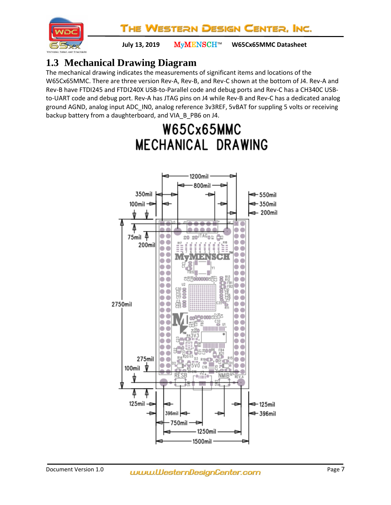

 **July 13, 2019** MyMENSCH™ **W65Cx65MMC Datasheet**

#### <span id="page-6-0"></span>**1.3 Mechanical Drawing Diagram**

The mechanical drawing indicates the measurements of significant items and locations of the W65Cx65MMC. There are three version Rev-A, Rev-B, and Rev-C shown at the bottom of J4. Rev-A and Rev-B have FTDI245 and FTDI240X USB-to-Parallel code and debug ports and Rev-C has a CH340C USBto-UART code and debug port. Rev-A has JTAG pins on J4 while Rev-B and Rev-C has a dedicated analog ground AGND, analog input ADC\_IN0, analog reference 3v3REF, 5vBAT for suppling 5 volts or receiving backup battery from a daughterboard, and VIA\_B\_PB6 on J4.

W65Cx65MMC

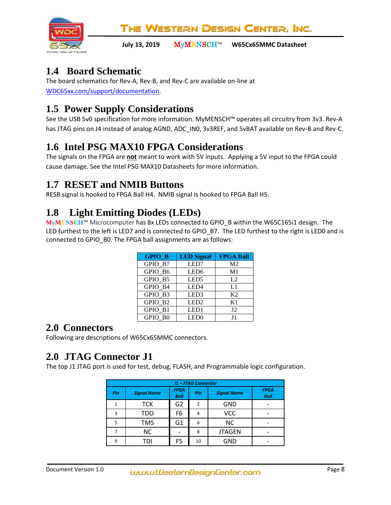

 **July 13, 2019** MyMENSCH™ **W65Cx65MMC Datasheet**

#### <span id="page-7-0"></span>**1.4 Board Schematic**

The board schematics for Rev-A, Rev-B, and Rev-C are available on-line at [WDC65xx.com/support/documentation.](https://wdc65xx.com/support/documentation/)

#### <span id="page-7-1"></span>**1.5 Power Supply Considerations**

See the USB 5v0 specification for more information. MyMENSCH™ operates all circuitry from 3v3. Rev-A has JTAG pins on J4 instead of analog AGND, ADC IN0, 3v3REF, and 5vBAT available on Rev-B and Rev-C.

#### <span id="page-7-2"></span>**1.6 Intel PSG MAX10 FPGA Considerations**

The signals on the FPGA are **not** meant to work with 5V inputs. Applying a 5V input to the FPGA could cause damage. See the Intel PSG MAX10 Datasheets for more information.

#### <span id="page-7-3"></span>**1.7 RESET and NMIB Buttons**

RESB signal is hooked to FPGA Ball H4. NMIB signal is hooked to FPGA Ball H5.

#### <span id="page-7-4"></span>**1.8 Light Emitting Diodes (LEDs)**

**MyMENSCH**™ Microcomputer has 8x LEDs connected to GPIO\_B within the W65C165i1 design. The LED furthest to the left is LED7 and is connected to GPIO\_B7. The LED furthest to the right is LED0 and is connected to GPIO\_B0. The FPGA ball assignments are as follows:

| <b>GPIO B</b> | <b>LED Signal</b> | <b>FPGA Ball</b> |
|---------------|-------------------|------------------|
| GPIO B7       | LED7              | M <sub>2</sub>   |
| GPIO B6       | LED <sub>6</sub>  | M1               |
| GPIO_B5       | LED <sub>5</sub>  | L2               |
| GPIO B4       | LED <sub>4</sub>  | L1               |
| GPIO B3       | LED <sub>3</sub>  | K <sub>2</sub>   |
| GPIO B2       | LED <sub>2</sub>  | K1               |
| GPIO B1       | LED1              | $_{\rm J2}$      |
| GPIO B0       | LED <sub>0</sub>  | $\mathbf{I}$     |

#### <span id="page-7-5"></span>**2.0 Connectors**

Following are descriptions of W65Cx65MMC connectors.

#### <span id="page-7-6"></span>**2.0 JTAG Connector J1**

The top J1 JTAG port is used for test, debug, FLASH, and Programmable logic configuration.

| J1-JTAG Connector |                    |                            |               |                    |                            |  |  |
|-------------------|--------------------|----------------------------|---------------|--------------------|----------------------------|--|--|
| Pin               | <b>Signal Name</b> | <b>FPGA</b><br><b>Ball</b> | Pin           | <b>Signal Name</b> | <b>FPGA</b><br><b>Ball</b> |  |  |
|                   | <b>TCK</b>         | G2                         | $\mathcal{P}$ | GND                |                            |  |  |
| 3                 | TDO                | F6                         |               | <b>VCC</b>         |                            |  |  |
| 5                 | <b>TMS</b>         | G1                         | 6             | <b>NC</b>          |                            |  |  |
|                   | <b>NC</b>          |                            | 8             | <b>JTAGEN</b>      |                            |  |  |
| q                 |                    | F5                         | 10            | GND                |                            |  |  |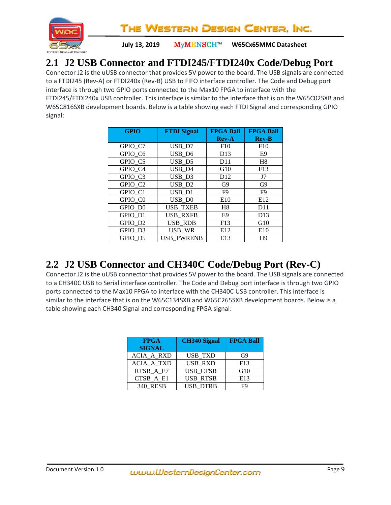

 **July 13, 2019** MyMENSCH™ **W65Cx65MMC Datasheet**

#### <span id="page-8-0"></span>**2.1 J2 USB Connector and FTDI245/FTDI240x Code/Debug Port**

Connector J2 is the uUSB connector that provides 5V power to the board. The USB signals are connected to a FTDI245 (Rev-A) or FTDI240x (Rev-B) USB to FIFO interface controller. The Code and Debug port interface is through two GPIO ports connected to the Max10 FPGA to interface with the FTDI245/FTDI240x USB controller. This interface is similar to the interface that is on the W65C02SXB and W65C816SXB development boards. Below is a table showing each FTDI Signal and corresponding GPIO signal:

| <b>GPIO</b>         | <b>FTDI Signal</b> | <b>FPGA Ball</b><br><b>Rev-A</b> | <b>FPGA Ball</b><br><b>Rev-B</b> |
|---------------------|--------------------|----------------------------------|----------------------------------|
| GPIO_C7             | USB_D7             | F10                              | F10                              |
| GPIO_C6             | USB_D6             | D <sub>13</sub>                  | E <sub>9</sub>                   |
| GPIO_C5             | USB_D5             | D11                              | H8                               |
| GPIO_C4             | USB_D4             | G10                              | F13                              |
| GPIO C3             | USB D3             | D <sub>12</sub>                  | J7                               |
| GPIO C2             | USB D2             | G <sub>9</sub>                   | G9                               |
| GPIO C1             | USB D1             | F <sub>9</sub>                   | F9                               |
| GPIO_C0             | USB_D0             | E10                              | E12                              |
| GPIO D <sub>0</sub> | <b>USB TXEB</b>    | H <sub>8</sub>                   | D11                              |
| GPIO D1             | <b>USB_RXFB</b>    | E <sub>9</sub>                   | D13                              |
| GPIO D2             | <b>USB_RDB</b>     | F13                              | G10                              |
| GPIO_D3             | USB_WR             | E12                              | E10                              |
| GPIO D5             | <b>USB PWRENB</b>  | E13                              | H <sub>9</sub>                   |

#### <span id="page-8-1"></span>**2.2 J2 USB Connector and CH340C Code/Debug Port (Rev-C)**

Connector J2 is the uUSB connector that provides 5V power to the board. The USB signals are connected to a CH340C USB to Serial interface controller. The Code and Debug port interface is through two GPIO ports connected to the Max10 FPGA to interface with the CH340C USB controller. This interface is similar to the interface that is on the W65C134SXB and W65C265SXB development boards. Below is a table showing each CH340 Signal and corresponding FPGA signal:

| <b>FPGA</b>       | <b>CH340 Signal</b> | <b>FPGA Ball</b> |
|-------------------|---------------------|------------------|
| <b>SIGNAL</b>     |                     |                  |
| <b>ACIA A RXD</b> | <b>USB TXD</b>      | G9               |
| <b>ACIA A TXD</b> | <b>USB RXD</b>      | F13              |
| RTSB A E7         | <b>USB CTSB</b>     | G10              |
| CTSB A E1         | <b>USB RTSB</b>     | E13              |
| 340_RESB          | <b>USB DTRB</b>     | F9               |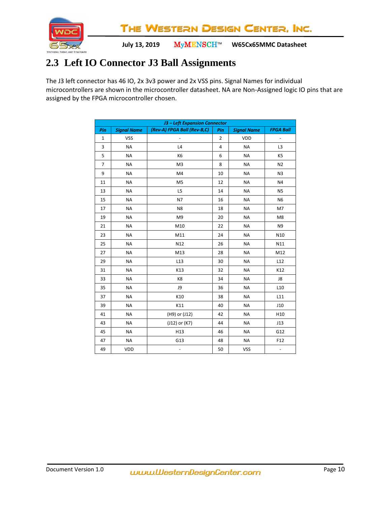



#### <span id="page-9-0"></span>**2.3 Left IO Connector J3 Ball Assignments**

The J3 left connector has 46 IO, 2x 3v3 power and 2x VSS pins. Signal Names for individual microcontrollers are shown in the microcontroller datasheet. NA are Non-Assigned logic IO pins that are assigned by the FPGA microcontroller chosen.

| <b>J3</b> - Left Expansion Connector |                    |                             |                |                    |                          |
|--------------------------------------|--------------------|-----------------------------|----------------|--------------------|--------------------------|
| Pin                                  | <b>Signal Name</b> | (Rev-A) FPGA Ball (Rev-B,C) | Pin            | <b>Signal Name</b> | <b>FPGA Ball</b>         |
| $\mathbf 1$                          | VSS                |                             | $\overline{2}$ | VDD                | -                        |
| 3                                    | <b>NA</b>          | L4                          | 4              | <b>NA</b>          | L3                       |
| 5                                    | <b>NA</b>          | K <sub>6</sub>              | 6              | <b>NA</b>          | K <sub>5</sub>           |
| $\overline{7}$                       | <b>NA</b>          | M <sub>3</sub>              | 8              | <b>NA</b>          | N <sub>2</sub>           |
| 9                                    | <b>NA</b>          | M4                          | 10             | <b>NA</b>          | N <sub>3</sub>           |
| 11                                   | <b>NA</b>          | M <sub>5</sub>              | 12             | <b>NA</b>          | N <sub>4</sub>           |
| 13                                   | <b>NA</b>          | L5                          | 14             | <b>NA</b>          | <b>N5</b>                |
| 15                                   | <b>NA</b>          | N7                          | 16             | <b>NA</b>          | N <sub>6</sub>           |
| 17                                   | <b>NA</b>          | N8                          | 18             | <b>NA</b>          | M7                       |
| 19                                   | NA                 | M9                          | 20             | <b>NA</b>          | M8                       |
| 21                                   | <b>NA</b>          | M10                         | 22             | <b>NA</b>          | N <sub>9</sub>           |
| 23                                   | <b>NA</b>          | M11                         | 24             | <b>NA</b>          | N10                      |
| 25                                   | <b>NA</b>          | N12                         | 26             | <b>NA</b>          | N11                      |
| 27                                   | <b>NA</b>          | M13                         | 28             | <b>NA</b>          | M12                      |
| 29                                   | <b>NA</b>          | L13                         | 30             | <b>NA</b>          | L12                      |
| 31                                   | <b>NA</b>          | K13                         | 32             | <b>NA</b>          | K12                      |
| 33                                   | <b>NA</b>          | K8                          | 34             | <b>NA</b>          | J8                       |
| 35                                   | <b>NA</b>          | J9                          | 36             | <b>NA</b>          | L <sub>10</sub>          |
| 37                                   | <b>NA</b>          | K10                         | 38             | <b>NA</b>          | L11                      |
| 39                                   | <b>NA</b>          | K11                         | 40             | <b>NA</b>          | J10                      |
| 41                                   | <b>NA</b>          | (H9) or (J12)               | 42             | <b>NA</b>          | H <sub>10</sub>          |
| 43                                   | <b>NA</b>          | (J12) or (K7)               | 44             | <b>NA</b>          | J13                      |
| 45                                   | <b>NA</b>          | H13                         | 46             | <b>NA</b>          | G12                      |
| 47                                   | <b>NA</b>          | G13                         | 48             | <b>NA</b>          | F12                      |
| 49                                   | VDD                | $\overline{\phantom{a}}$    | 50             | VSS                | $\overline{\phantom{a}}$ |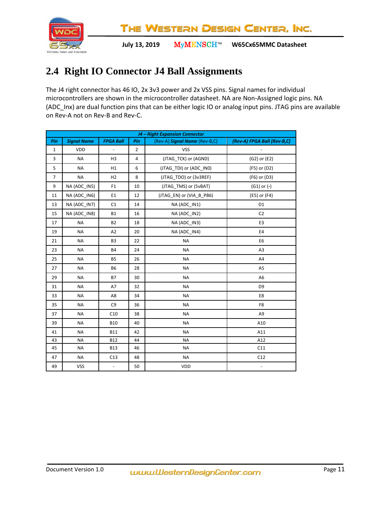



#### <span id="page-10-0"></span>**2.4 Right IO Connector J4 Ball Assignments**

The J4 right connector has 46 IO, 2x 3v3 power and 2x VSS pins. Signal names for individual microcontrollers are shown in the microcontroller datasheet. NA are Non-Assigned logic pins. NA (ADC\_Inx) are dual function pins that can be either logic IO or analog input pins. JTAG pins are available on Rev-A not on Rev-B and Rev-C.

| J4 - Right Expansion Connector |                    |                          |                |                               |                             |  |
|--------------------------------|--------------------|--------------------------|----------------|-------------------------------|-----------------------------|--|
| Pin                            | <b>Signal Name</b> | <b>FPGA Ball</b>         | Pin            | (Rev-A) Signal Name (Rev-B,C) | (Rev-A) FPGA Ball (Rev-B,C) |  |
| $\mathbf{1}$                   | VDD                |                          | $\overline{2}$ | <b>VSS</b>                    |                             |  |
| 3                              | <b>NA</b>          | H <sub>3</sub>           | $\overline{4}$ | (JTAG TCK) or (AGND)          | (G2) or (E2)                |  |
| 5                              | <b>NA</b>          | H1                       | 6              | (JTAG TDI) or (ADC IN0)       | (F5) or (D2)                |  |
| $\overline{7}$                 | <b>NA</b>          | H2                       | 8              | (JTAG TDO) or (3v3REF)        | (F6) or (D3)                |  |
| 9                              | NA (ADC IN5)       | F <sub>1</sub>           | 10             | (JTAG TMS) or (5vBAT)         | $(G1)$ or $(-)$             |  |
| 11                             | NA (ADC_IN6)       | E <sub>1</sub>           | 12             | (JTAG EN) or (VIA B PB6)      | (E5) or (F4)                |  |
| 13                             | NA (ADC_IN7)       | C1                       | 14             | NA (ADC_IN1)                  | D <sub>1</sub>              |  |
| 15                             | NA (ADC IN8)       | <b>B1</b>                | 16             | NA (ADC_IN2)                  | C <sub>2</sub>              |  |
| 17                             | <b>NA</b>          | <b>B2</b>                | 18             | NA (ADC IN3)                  | E3                          |  |
| 19                             | <b>NA</b>          | A <sub>2</sub>           | 20             | NA (ADC IN4)                  | E4                          |  |
| 21                             | <b>NA</b>          | B <sub>3</sub>           | 22             | <b>NA</b>                     | E <sub>6</sub>              |  |
| 23                             | <b>NA</b>          | <b>B4</b>                | 24             | <b>NA</b>                     | A <sub>3</sub>              |  |
| 25                             | <b>NA</b>          | <b>B5</b>                | 26             | <b>NA</b>                     | A4                          |  |
| 27                             | <b>NA</b>          | <b>B6</b>                | 28             | <b>NA</b>                     | A <sub>5</sub>              |  |
| 29                             | <b>NA</b>          | <b>B7</b>                | 30             | <b>NA</b>                     | A <sub>6</sub>              |  |
| 31                             | <b>NA</b>          | A7                       | 32             | <b>NA</b>                     | D <sub>9</sub>              |  |
| 33                             | <b>NA</b>          | A8                       | 34             | <b>NA</b>                     | E8                          |  |
| 35                             | <b>NA</b>          | C <sub>9</sub>           | 36             | <b>NA</b>                     | F8                          |  |
| 37                             | <b>NA</b>          | C10                      | 38             | <b>NA</b>                     | A9                          |  |
| 39                             | <b>NA</b>          | <b>B10</b>               | 40             | <b>NA</b>                     | A10                         |  |
| 41                             | <b>NA</b>          | <b>B11</b>               | 42             | <b>NA</b>                     | A11                         |  |
| 43                             | <b>NA</b>          | <b>B12</b>               | 44             | <b>NA</b>                     | A12                         |  |
| 45                             | <b>NA</b>          | <b>B13</b>               | 46             | <b>NA</b>                     | C11                         |  |
| 47                             | <b>NA</b>          | C13                      | 48             | <b>NA</b>                     | C12                         |  |
| 49                             | <b>VSS</b>         | $\overline{\phantom{a}}$ | 50             | VDD                           | $\overline{\phantom{a}}$    |  |